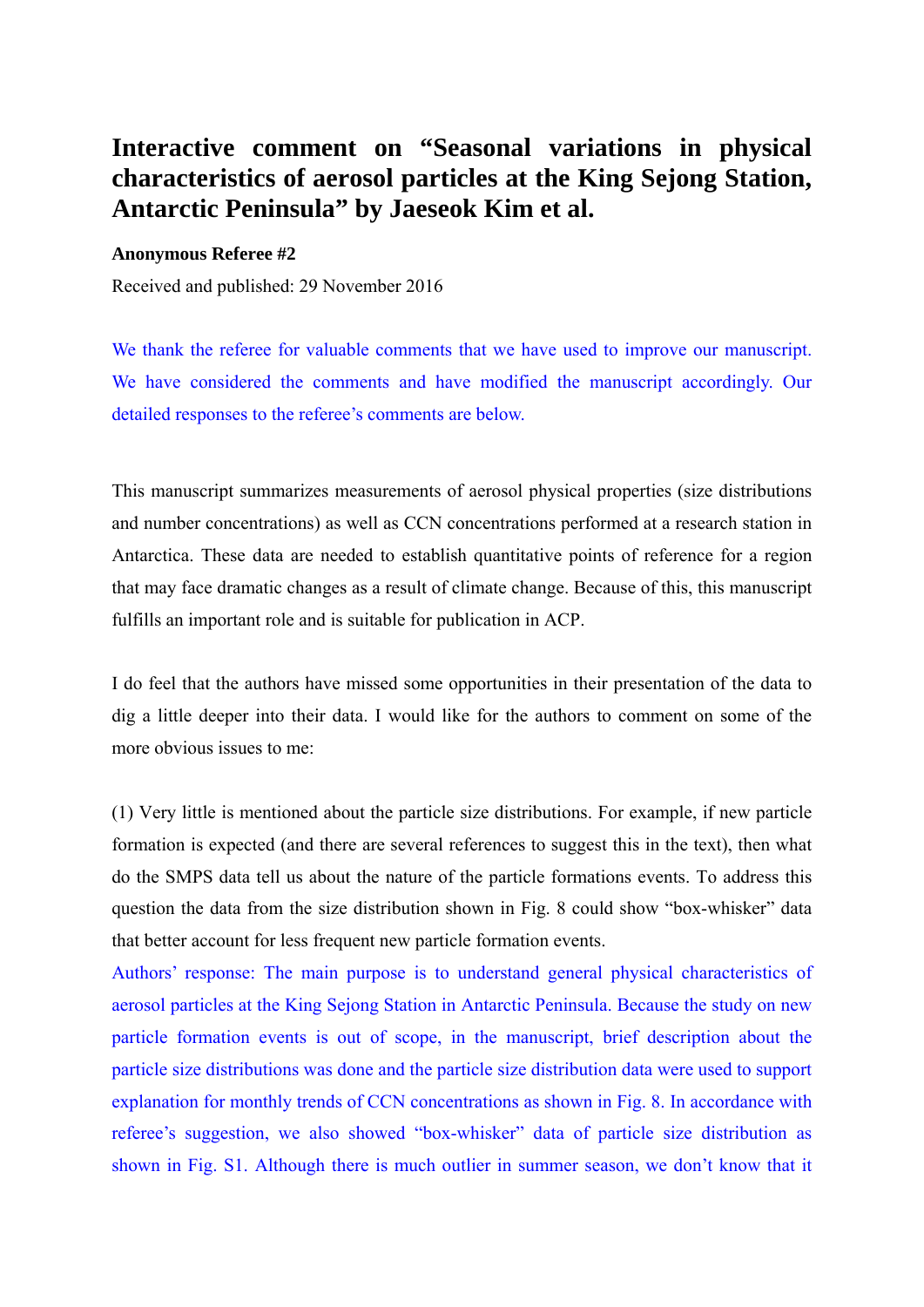## **Interactive comment on "Seasonal variations in physical characteristics of aerosol particles at the King Sejong Station, Antarctic Peninsula" by Jaeseok Kim et al.**

## **Anonymous Referee #2**

Received and published: 29 November 2016

We thank the referee for valuable comments that we have used to improve our manuscript. We have considered the comments and have modified the manuscript accordingly. Our detailed responses to the referee's comments are below.

This manuscript summarizes measurements of aerosol physical properties (size distributions and number concentrations) as well as CCN concentrations performed at a research station in Antarctica. These data are needed to establish quantitative points of reference for a region that may face dramatic changes as a result of climate change. Because of this, this manuscript fulfills an important role and is suitable for publication in ACP.

I do feel that the authors have missed some opportunities in their presentation of the data to dig a little deeper into their data. I would like for the authors to comment on some of the more obvious issues to me:

(1) Very little is mentioned about the particle size distributions. For example, if new particle formation is expected (and there are several references to suggest this in the text), then what do the SMPS data tell us about the nature of the particle formations events. To address this question the data from the size distribution shown in Fig. 8 could show "box-whisker" data that better account for less frequent new particle formation events.

Authors' response: The main purpose is to understand general physical characteristics of aerosol particles at the King Sejong Station in Antarctic Peninsula. Because the study on new particle formation events is out of scope, in the manuscript, brief description about the particle size distributions was done and the particle size distribution data were used to support explanation for monthly trends of CCN concentrations as shown in Fig. 8. In accordance with referee's suggestion, we also showed "box-whisker" data of particle size distribution as shown in Fig. S1. Although there is much outlier in summer season, we don't know that it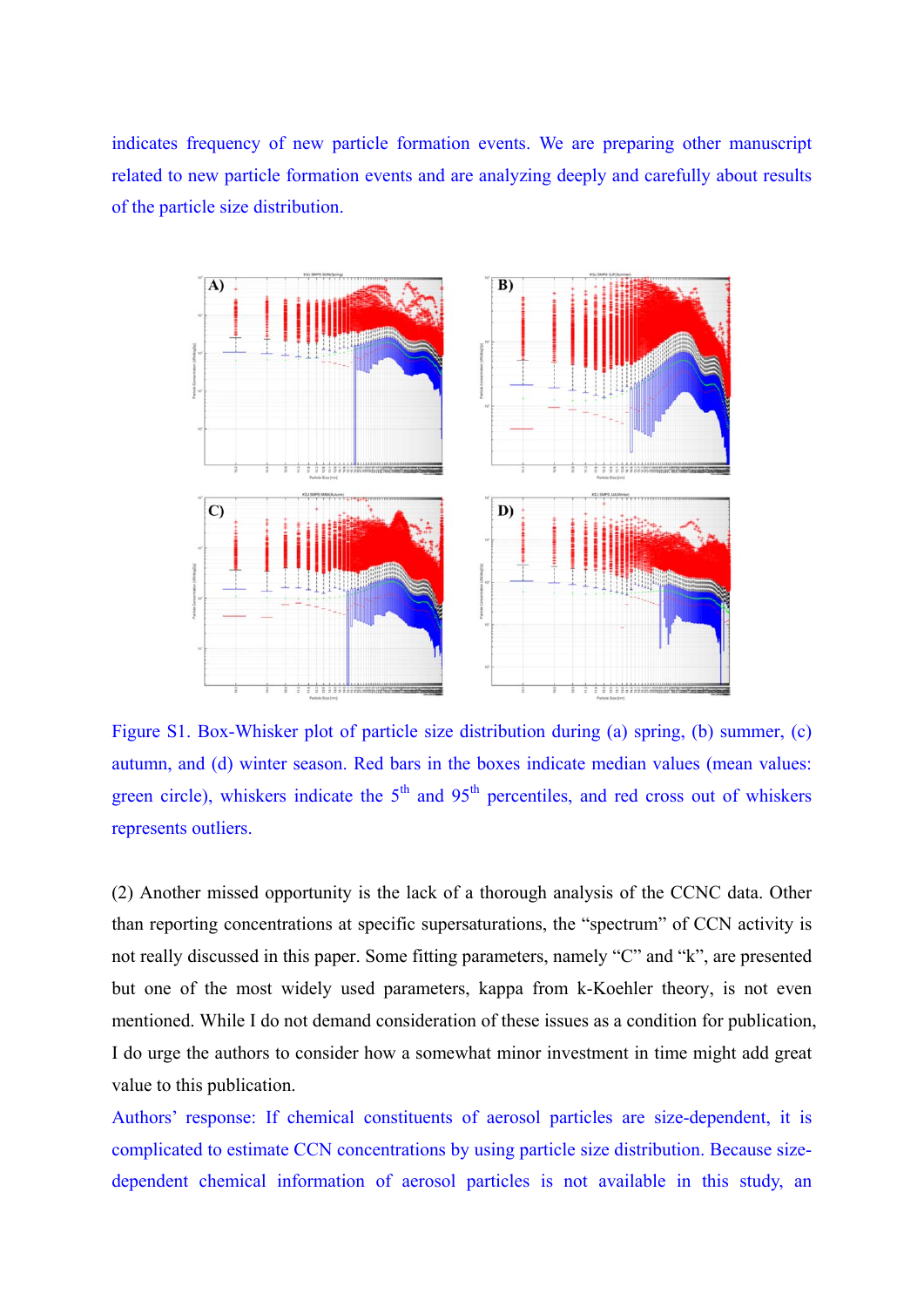indicates frequency of new particle formation events. We are preparing other manuscript related to new particle formation events and are analyzing deeply and carefully about results of the particle size distribution.



Figure S1. Box-Whisker plot of particle size distribution during (a) spring, (b) summer, (c) autumn, and (d) winter season. Red bars in the boxes indicate median values (mean values: green circle), whiskers indicate the  $5<sup>th</sup>$  and  $95<sup>th</sup>$  percentiles, and red cross out of whiskers represents outliers.

(2) Another missed opportunity is the lack of a thorough analysis of the CCNC data. Other than reporting concentrations at specific supersaturations, the "spectrum" of CCN activity is not really discussed in this paper. Some fitting parameters, namely "C" and "k", are presented but one of the most widely used parameters, kappa from k-Koehler theory, is not even mentioned. While I do not demand consideration of these issues as a condition for publication, I do urge the authors to consider how a somewhat minor investment in time might add great value to this publication.

Authors' response: If chemical constituents of aerosol particles are size-dependent, it is complicated to estimate CCN concentrations by using particle size distribution. Because sizedependent chemical information of aerosol particles is not available in this study, an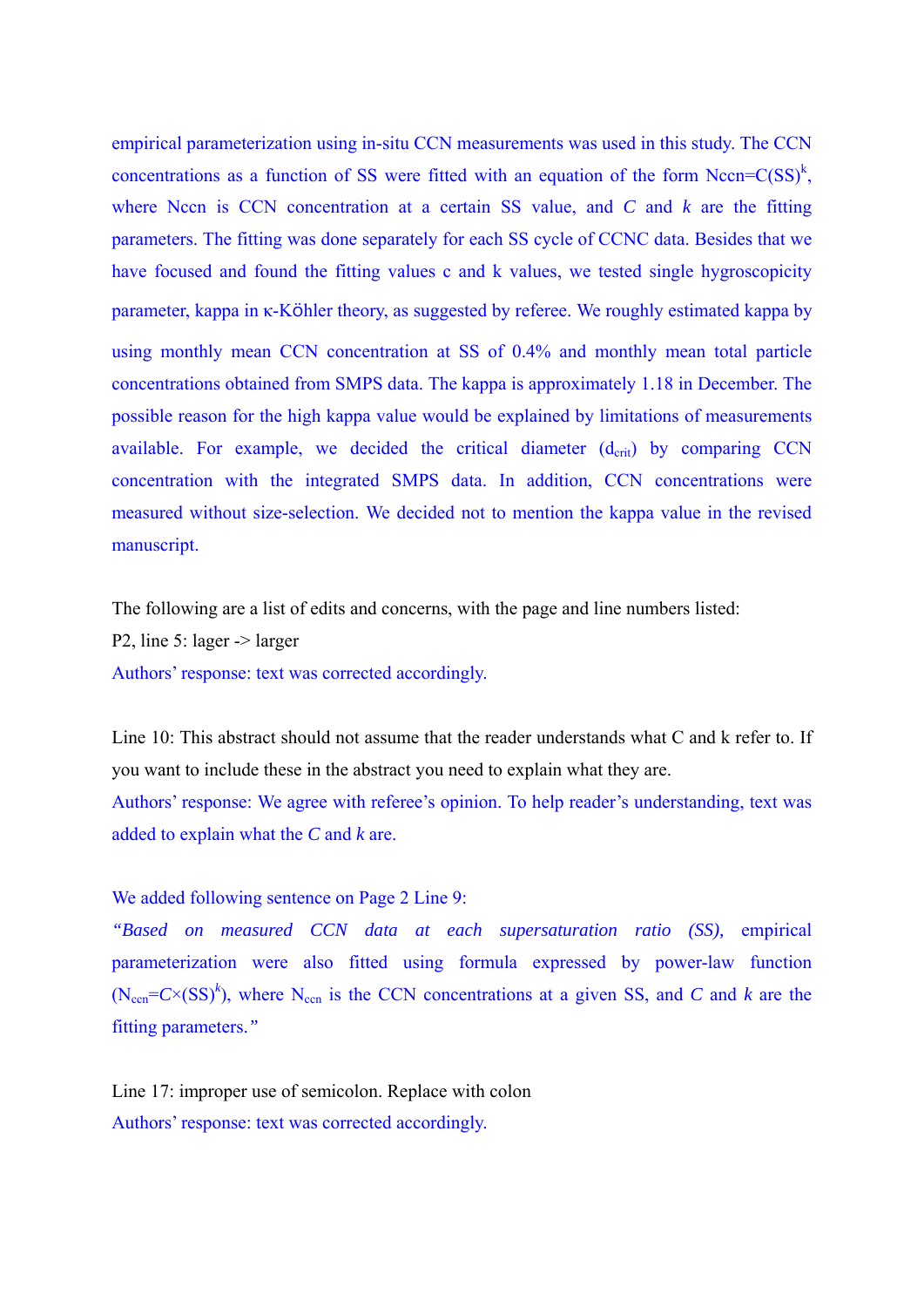empirical parameterization using in-situ CCN measurements was used in this study. The CCN concentrations as a function of SS were fitted with an equation of the form Nccn= $C(SS)^k$ , where Nccn is CCN concentration at a certain SS value, and *C* and *k* are the fitting parameters. The fitting was done separately for each SS cycle of CCNC data. Besides that we have focused and found the fitting values c and k values, we tested single hygroscopicity parameter, kappa in κ-Köhler theory, as suggested by referee. We roughly estimated kappa by using monthly mean CCN concentration at SS of 0.4% and monthly mean total particle concentrations obtained from SMPS data. The kappa is approximately 1.18 in December. The possible reason for the high kappa value would be explained by limitations of measurements available. For example, we decided the critical diameter  $(d_{\text{crit}})$  by comparing CCN concentration with the integrated SMPS data. In addition, CCN concentrations were measured without size-selection. We decided not to mention the kappa value in the revised manuscript.

The following are a list of edits and concerns, with the page and line numbers listed: P2, line 5: lager -> larger Authors' response: text was corrected accordingly.

Line 10: This abstract should not assume that the reader understands what C and k refer to. If you want to include these in the abstract you need to explain what they are.

Authors' response: We agree with referee's opinion. To help reader's understanding, text was added to explain what the *C* and *k* are.

We added following sentence on Page 2 Line 9:

*"Based on measured CCN data at each supersaturation ratio (SS),* empirical parameterization were also fitted using formula expressed by power-law function  $(N_{\text{cen}}=C\times (SS)^{k}$ ), where N<sub>ccn</sub> is the CCN concentrations at a given SS, and *C* and *k* are the fitting parameters.*"* 

Line 17: improper use of semicolon. Replace with colon Authors' response: text was corrected accordingly.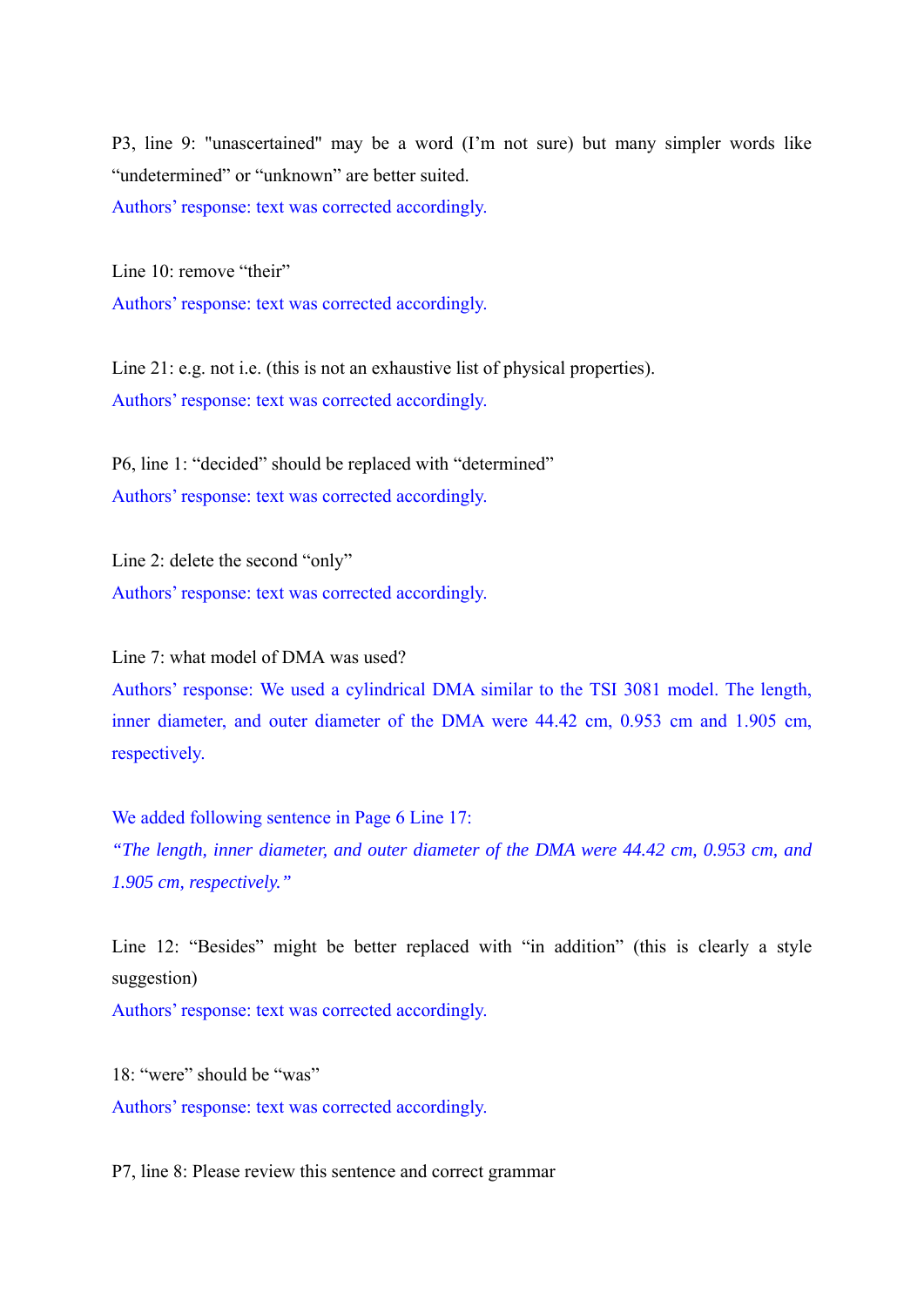P3, line 9: "unascertained" may be a word (I'm not sure) but many simpler words like "undetermined" or "unknown" are better suited. Authors' response: text was corrected accordingly.

Line 10: remove "their" Authors' response: text was corrected accordingly.

Line 21: e.g. not i.e. (this is not an exhaustive list of physical properties). Authors' response: text was corrected accordingly.

P6, line 1: "decided" should be replaced with "determined" Authors' response: text was corrected accordingly.

Line 2: delete the second "only" Authors' response: text was corrected accordingly.

Line 7: what model of DMA was used?

Authors' response: We used a cylindrical DMA similar to the TSI 3081 model. The length, inner diameter, and outer diameter of the DMA were 44.42 cm, 0.953 cm and 1.905 cm, respectively.

We added following sentence in Page 6 Line 17:

*"The length, inner diameter, and outer diameter of the DMA were 44.42 cm, 0.953 cm, and 1.905 cm, respectively."* 

Line 12: "Besides" might be better replaced with "in addition" (this is clearly a style suggestion)

Authors' response: text was corrected accordingly.

18: "were" should be "was" Authors' response: text was corrected accordingly.

P7, line 8: Please review this sentence and correct grammar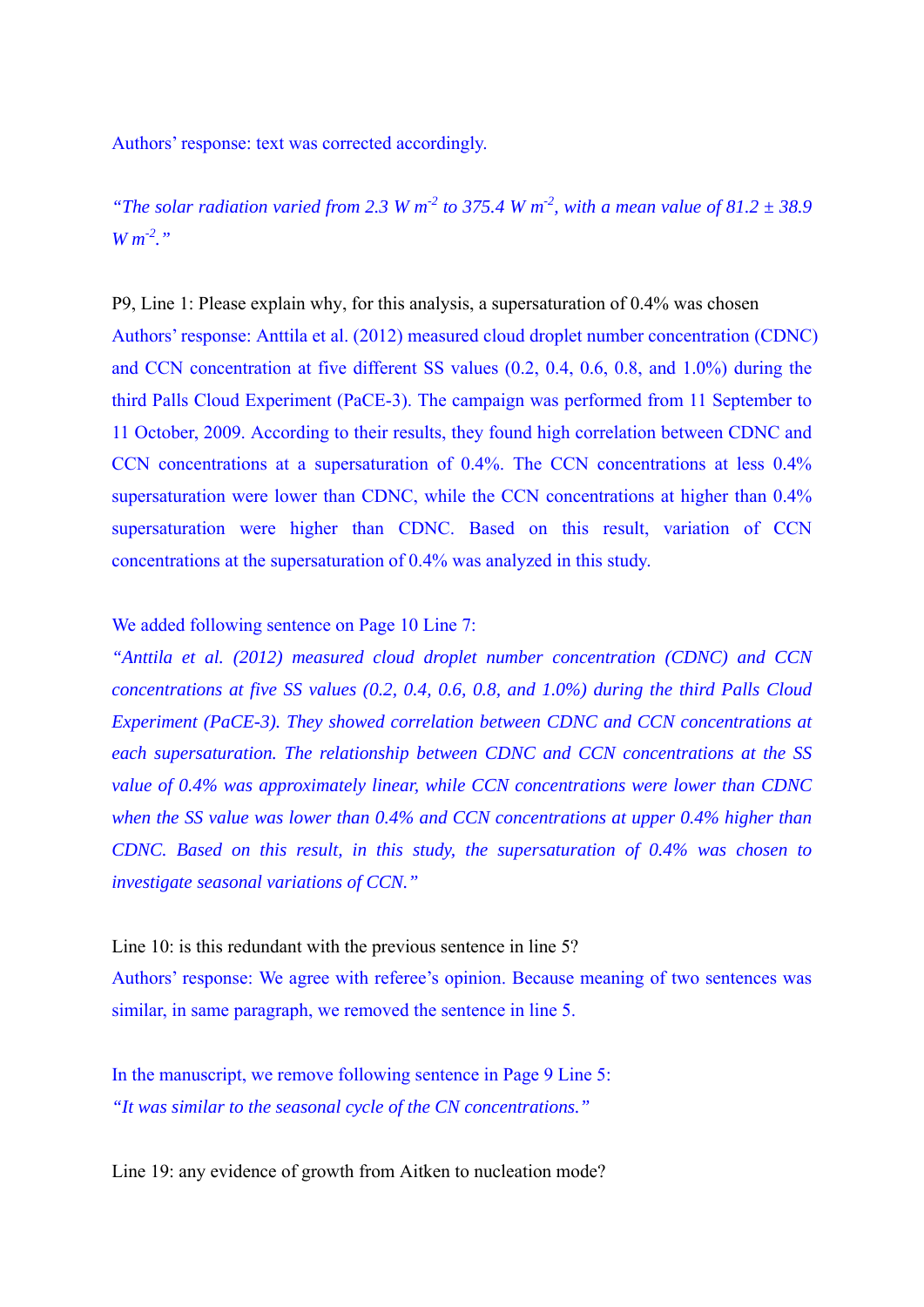Authors' response: text was corrected accordingly.

*"The solar radiation varied from 2.3 W m<sup>-2</sup> to 375.4 W m<sup>-2</sup>, with a mean value of 81.2*  $\pm$  *38.9*  $W m^{2}$ 

P9, Line 1: Please explain why, for this analysis, a supersaturation of 0.4% was chosen Authors' response: Anttila et al. (2012) measured cloud droplet number concentration (CDNC) and CCN concentration at five different SS values (0.2, 0.4, 0.6, 0.8, and 1.0%) during the third Palls Cloud Experiment (PaCE-3). The campaign was performed from 11 September to 11 October, 2009. According to their results, they found high correlation between CDNC and CCN concentrations at a supersaturation of 0.4%. The CCN concentrations at less 0.4% supersaturation were lower than CDNC, while the CCN concentrations at higher than  $0.4\%$ supersaturation were higher than CDNC. Based on this result, variation of CCN concentrations at the supersaturation of 0.4% was analyzed in this study.

We added following sentence on Page 10 Line 7:

*"Anttila et al. (2012) measured cloud droplet number concentration (CDNC) and CCN concentrations at five SS values (0.2, 0.4, 0.6, 0.8, and 1.0%) during the third Palls Cloud Experiment (PaCE-3). They showed correlation between CDNC and CCN concentrations at each supersaturation. The relationship between CDNC and CCN concentrations at the SS value of 0.4% was approximately linear, while CCN concentrations were lower than CDNC when the SS value was lower than 0.4% and CCN concentrations at upper 0.4% higher than CDNC. Based on this result, in this study, the supersaturation of 0.4% was chosen to investigate seasonal variations of CCN."* 

Line 10: is this redundant with the previous sentence in line 5? Authors' response: We agree with referee's opinion. Because meaning of two sentences was similar, in same paragraph, we removed the sentence in line 5.

In the manuscript, we remove following sentence in Page 9 Line 5: *"It was similar to the seasonal cycle of the CN concentrations."*

Line 19: any evidence of growth from Aitken to nucleation mode?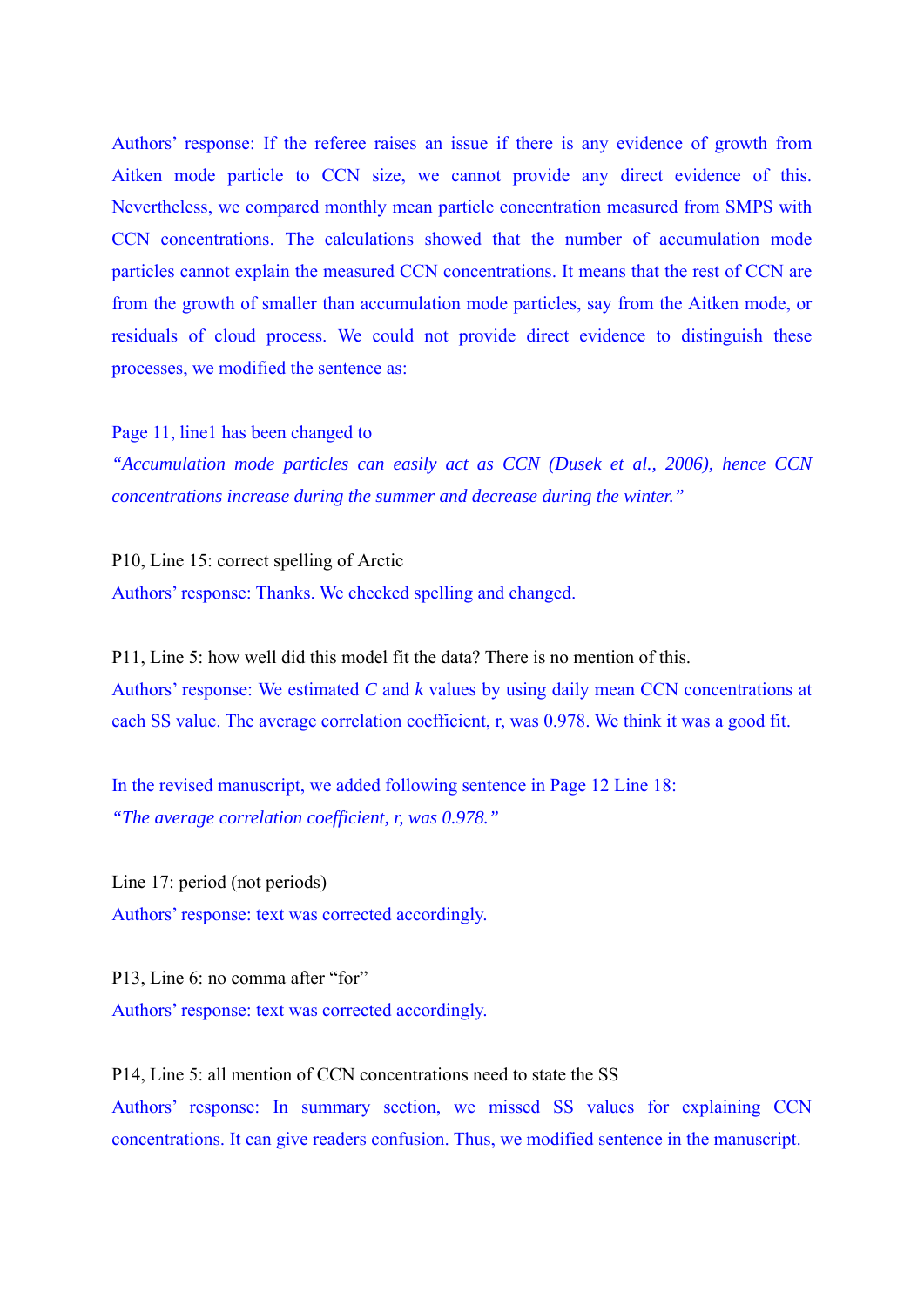Authors' response: If the referee raises an issue if there is any evidence of growth from Aitken mode particle to CCN size, we cannot provide any direct evidence of this. Nevertheless, we compared monthly mean particle concentration measured from SMPS with CCN concentrations. The calculations showed that the number of accumulation mode particles cannot explain the measured CCN concentrations. It means that the rest of CCN are from the growth of smaller than accumulation mode particles, say from the Aitken mode, or residuals of cloud process. We could not provide direct evidence to distinguish these processes, we modified the sentence as:

Page 11, line1 has been changed to

*"Accumulation mode particles can easily act as CCN (Dusek et al., 2006), hence CCN concentrations increase during the summer and decrease during the winter."* 

P10, Line 15: correct spelling of Arctic Authors' response: Thanks. We checked spelling and changed.

P11, Line 5: how well did this model fit the data? There is no mention of this. Authors' response: We estimated *C* and *k* values by using daily mean CCN concentrations at each SS value. The average correlation coefficient, r, was 0.978. We think it was a good fit.

In the revised manuscript, we added following sentence in Page 12 Line 18: *"The average correlation coefficient, r, was 0.978."*

Line 17: period (not periods) Authors' response: text was corrected accordingly.

P13, Line 6: no comma after "for" Authors' response: text was corrected accordingly.

P14, Line 5: all mention of CCN concentrations need to state the SS Authors' response: In summary section, we missed SS values for explaining CCN concentrations. It can give readers confusion. Thus, we modified sentence in the manuscript.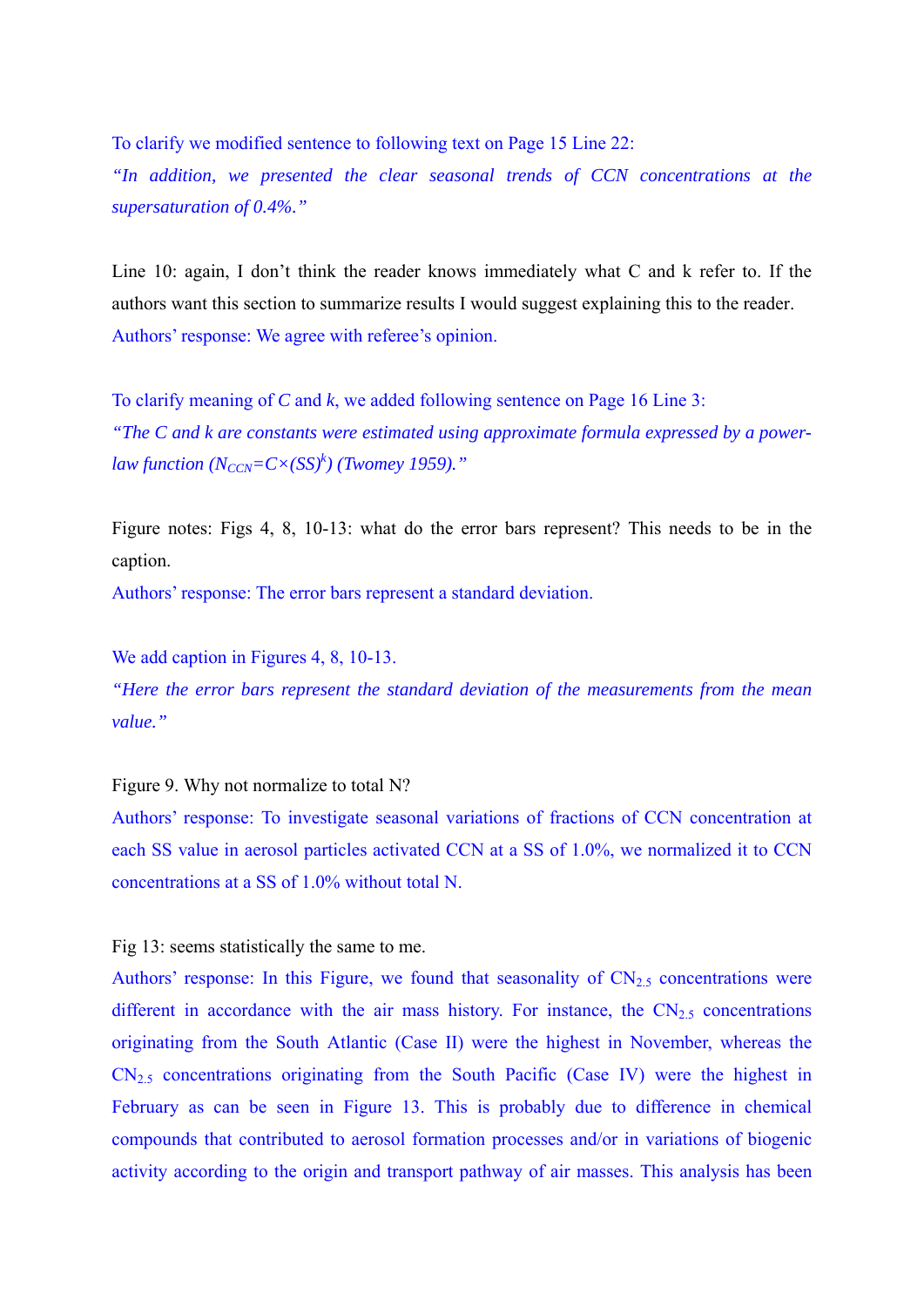To clarify we modified sentence to following text on Page 15 Line 22:

*"In addition, we presented the clear seasonal trends of CCN concentrations at the supersaturation of 0.4%."* 

Line 10: again, I don't think the reader knows immediately what C and k refer to. If the authors want this section to summarize results I would suggest explaining this to the reader. Authors' response: We agree with referee's opinion.

To clarify meaning of *C* and *k*, we added following sentence on Page 16 Line 3: *"The C and k are constants were estimated using approximate formula expressed by a powerlaw function*  $(N_{CCN} = C \times (SS)^k)$  (Twomey 1959)."

Figure notes: Figs 4, 8, 10-13: what do the error bars represent? This needs to be in the caption.

Authors' response: The error bars represent a standard deviation.

We add caption in Figures 4, 8, 10-13.

*"Here the error bars represent the standard deviation of the measurements from the mean value."*

Figure 9. Why not normalize to total N?

Authors' response: To investigate seasonal variations of fractions of CCN concentration at each SS value in aerosol particles activated CCN at a SS of 1.0%, we normalized it to CCN concentrations at a SS of 1.0% without total N.

Fig 13: seems statistically the same to me.

Authors' response: In this Figure, we found that seasonality of  $CN_{2.5}$  concentrations were different in accordance with the air mass history. For instance, the  $CN<sub>2.5</sub>$  concentrations originating from the South Atlantic (Case II) were the highest in November, whereas the  $CN_{2.5}$  concentrations originating from the South Pacific (Case IV) were the highest in February as can be seen in Figure 13. This is probably due to difference in chemical compounds that contributed to aerosol formation processes and/or in variations of biogenic activity according to the origin and transport pathway of air masses. This analysis has been